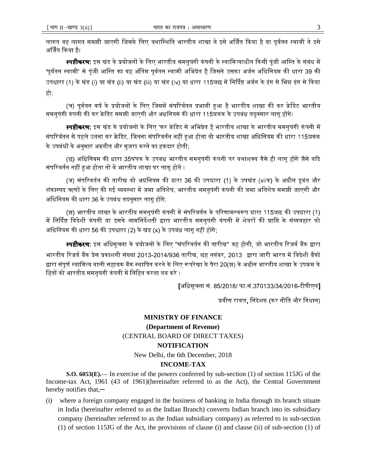## **MINISTRY OF FINANCE** (Department of Revenue) (CENTRAL BOARD OF DIRECT TAXES) **NOTIFICATION**

New Delhi, the 6th December, 2018

## **INCOME-TAX**

**S.O. 6053(E).**— In exercise of the powers conferred by sub-section (1) of section 115JG of the Income-tax Act, 1961 (43 of 1961)(hereinafter referred to as the Act), the Central Government hereby notifies that, $-$ 

where a foreign company engaged in the business of banking in India through its branch situate  $(i)$ in India (hereinafter referred to as the Indian Branch) converts Indian branch into its subsidiary company (hereinafter referred to as the Indian subsidiary company) as referred to in sub-section (1) of section 115JG of the Act, the provisions of clause (i) and clause (ii) of sub-section (1) of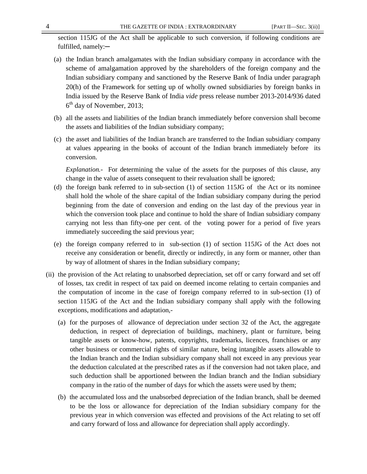section 115JG of the Act shall be applicable to such conversion, if following conditions are fulfilled, namely:—

- (a) the Indian branch amalgamates with the Indian subsidiary company in accordance with the scheme of amalgamation approved by the shareholders of the foreign company and the Indian subsidiary company and sanctioned by the Reserve Bank of India under paragraph 20(h) of the Framework for setting up of wholly owned subsidiaries by foreign banks in India issued by the Reserve Bank of India *vide* press release number 2013-2014/936 dated 6 th day of November, 2013;
- (b) all the assets and liabilities of the Indian branch immediately before conversion shall become the assets and liabilities of the Indian subsidiary company;
- (c) the asset and liabilities of the Indian branch are transferred to the Indian subsidiary company at values appearing in the books of account of the Indian branch immediately before its conversion.

*Explanation.-* For determining the value of the assets for the purposes of this clause, any change in the value of assets consequent to their revaluation shall be ignored;

- (d) the foreign bank referred to in sub-section (1) of section 115JG of the Act or its nominee shall hold the whole of the share capital of the Indian subsidiary company during the period beginning from the date of conversion and ending on the last day of the previous year in which the conversion took place and continue to hold the share of Indian subsidiary company carrying not less than fifty-one per cent. of the voting power for a period of five years immediately succeeding the said previous year;
- (e) the foreign company referred to in sub-section (1) of section 115JG of the Act does not receive any consideration or benefit, directly or indirectly, in any form or manner, other than by way of allotment of shares in the Indian subsidiary company;
- (ii) the provision of the Act relating to unabsorbed depreciation, set off or carry forward and set off of losses, tax credit in respect of tax paid on deemed income relating to certain companies and the computation of income in the case of foreign company referred to in sub-section (1) of section 115JG of the Act and the Indian subsidiary company shall apply with the following exceptions, modifications and adaptation,-
	- (a) for the purposes of allowance of depreciation under section 32 of the Act, the aggregate deduction, in respect of depreciation of buildings, machinery, plant or furniture, being tangible assets or know-how, patents, copyrights, trademarks, licences, franchises or any other business or commercial rights of similar nature, being intangible assets allowable to the Indian branch and the Indian subsidiary company shall not exceed in any previous year the deduction calculated at the prescribed rates as if the conversion had not taken place, and such deduction shall be apportioned between the Indian branch and the Indian subsidiary company in the ratio of the number of days for which the assets were used by them;
	- (b) the accumulated loss and the unabsorbed depreciation of the Indian branch, shall be deemed to be the loss or allowance for depreciation of the Indian subsidiary company for the previous year in which conversion was effected and provisions of the Act relating to set off and carry forward of loss and allowance for depreciation shall apply accordingly.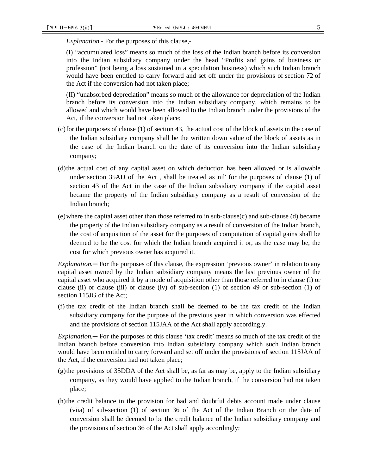*Explanation.-* For the purposes of this clause,-

(I) "accumulated loss" means so much of the loss of the Indian branch before its conversion into the Indian subsidiary company under the head "Profits and gains of business or profession" (not being a loss sustained in a speculation business) which such Indian branch would have been entitled to carry forward and set off under the provisions of section 72 of the Act if the conversion had not taken place;

(II) "unabsorbed depreciation" means so much of the allowance for depreciation of the Indian branch before its conversion into the Indian subsidiary company, which remains to be allowed and which would have been allowed to the Indian branch under the provisions of the Act, if the conversion had not taken place;

- (c)for the purposes of clause (1) of section 43, the actual cost of the block of assets in the case of the Indian subsidiary company shall be the written down value of the block of assets as in the case of the Indian branch on the date of its conversion into the Indian subsidiary company;
- (d)the actual cost of any capital asset on which deduction has been allowed or is allowable under section 35AD of the Act , shall be treated as 'nil' for the purposes of clause (1) of section 43 of the Act in the case of the Indian subsidiary company if the capital asset became the property of the Indian subsidiary company as a result of conversion of the Indian branch;
- (e)where the capital asset other than those referred to in sub-clause(c) and sub-clause (d) became the property of the Indian subsidiary company as a result of conversion of the Indian branch, the cost of acquisition of the asset for the purposes of computation of capital gains shall be deemed to be the cost for which the Indian branch acquired it or, as the case may be, the cost for which previous owner has acquired it.

*Explanation.*─ For the purposes of this clause, the expression 'previous owner' in relation to any capital asset owned by the Indian subsidiary company means the last previous owner of the capital asset who acquired it by a mode of acquisition other than those referred to in clause (i) or clause (ii) or clause (iii) or clause (iv) of sub-section (1) of section 49 or sub-section (1) of section 115JG of the Act;

(f) the tax credit of the Indian branch shall be deemed to be the tax credit of the Indian subsidiary company for the purpose of the previous year in which conversion was effected and the provisions of section 115JAA of the Act shall apply accordingly.

*Explanation.*─ For the purposes of this clause 'tax credit' means so much of the tax credit of the Indian branch before conversion into Indian subsidiary company which such Indian branch would have been entitled to carry forward and set off under the provisions of section 115JAA of the Act, if the conversion had not taken place;

- (g)the provisions of 35DDA of the Act shall be, as far as may be, apply to the Indian subsidiary company, as they would have applied to the Indian branch, if the conversion had not taken place;
- (h)the credit balance in the provision for bad and doubtful debts account made under clause (viia) of sub-section (1) of section 36 of the Act of the Indian Branch on the date of conversion shall be deemed to be the credit balance of the Indian subsidiary company and the provisions of section 36 of the Act shall apply accordingly;